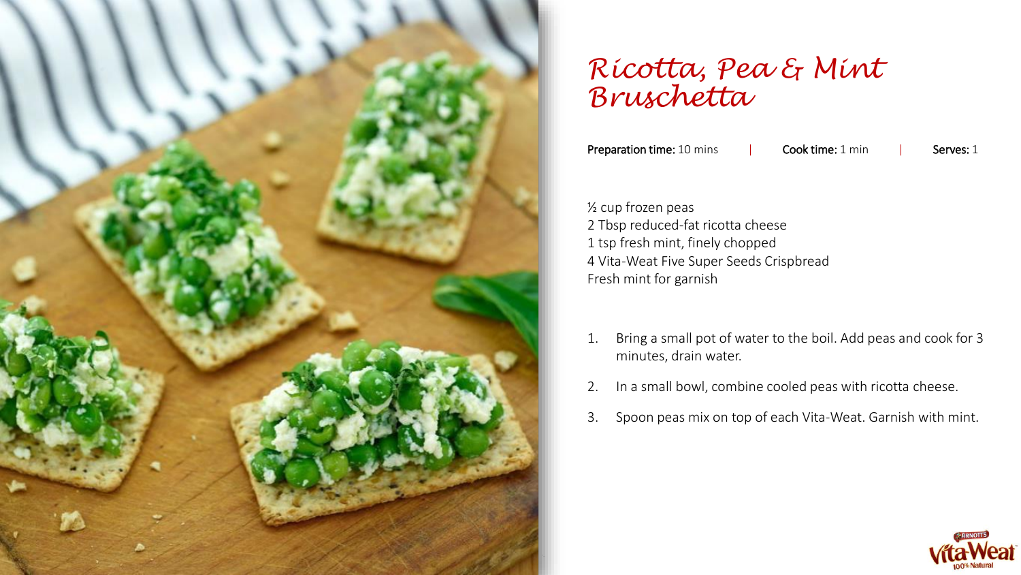

## *Ricotta, Pea & Mint Bruschetta*

Preparation time: 10 mins | Cook time: 1 min | Serves: 1

½ cup frozen peas 2 Tbsp reduced-fat ricotta cheese 1 tsp fresh mint, finely chopped 4 Vita-Weat Five Super Seeds Crispbread Fresh mint for garnish

- 1. Bring a small pot of water to the boil. Add peas and cook for 3 minutes, drain water.
- 2. In a small bowl, combine cooled peas with ricotta cheese.
- 3. Spoon peas mix on top of each Vita-Weat. Garnish with mint.

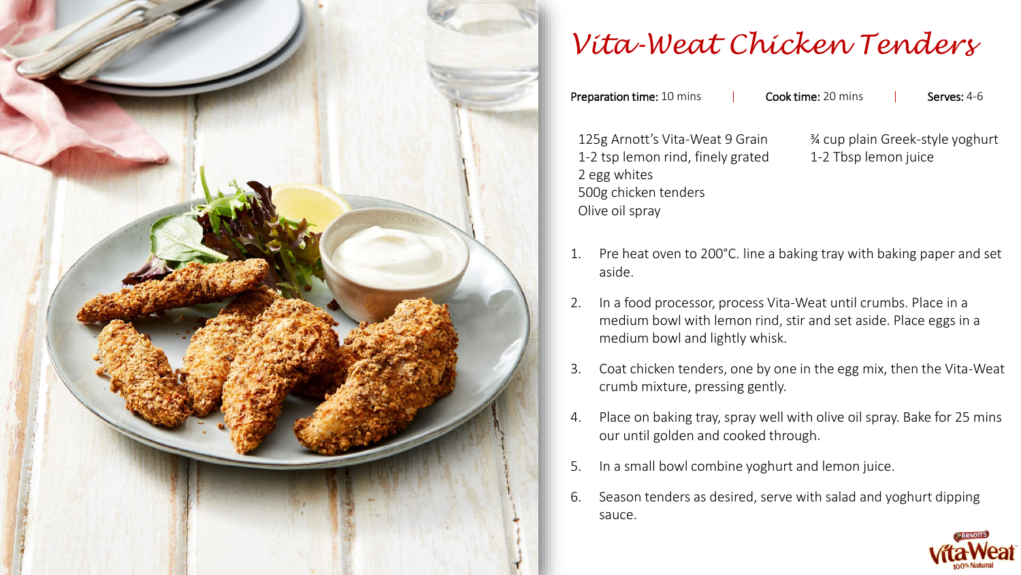

## *Vita-Weat Chicken Tenders*

Preparation time: 10 mins | Cook time: 20 mins | Serves: 4-6

125g Arnott's Vita-Weat 9 Grain 1-2 tsp lemon rind, finely grated 2 egg whites 500g chicken tenders Olive oil spray

¾ cup plain Greek-style yoghurt 1-2 Tbsp lemon juice

- 1. Pre heat oven to 200°C. line a baking tray with baking paper and set aside.
- 2. In a food processor, process Vita-Weat until crumbs. Place in a medium bowl with lemon rind, stir and set aside. Place eggs in a medium bowl and lightly whisk.
- 3. Coat chicken tenders, one by one in the egg mix, then the Vita-Weat crumb mixture, pressing gently.
- 4. Place on baking tray, spray well with olive oil spray. Bake for 25 mins our until golden and cooked through.
- 5. In a small bowl combine yoghurt and lemon juice.
- 6. Season tenders as desired, serve with salad and yoghurt dipping sauce.